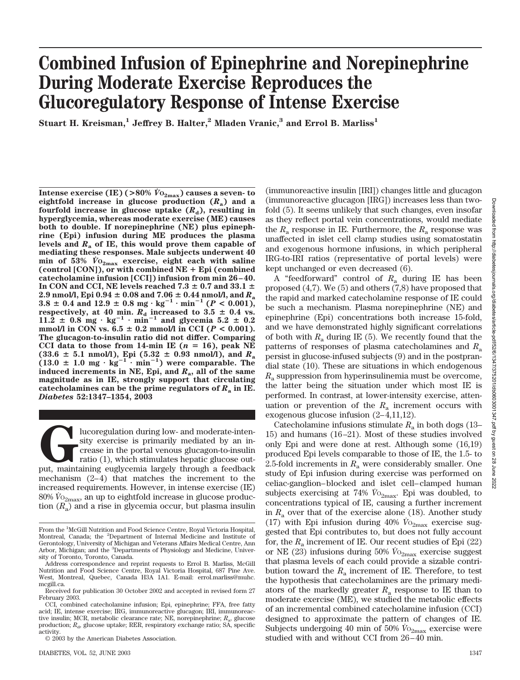# **Combined Infusion of Epinephrine and Norepinephrine During Moderate Exercise Reproduces the Glucoregulatory Response of Intense Exercise**

**Stuart H. Kreisman,1 Jeffrey B. Halter,2 Mladen Vranic,3 and Errol B. Marliss1**

**Intense exercise (IE) (** $>80\%$  $\dot{V}_{0_{2max}}$ **) causes a seven- to eightfold increase in glucose production (***R***a) and a fourfold increase in glucose uptake**  $(R_d)$ **, resulting in hyperglycemia, whereas moderate exercise (ME) causes both to double. If norepinephrine (NE) plus epinephrine (Epi) infusion during ME produces the plasma levels and** *R***<sup>a</sup> of IE, this would prove them capable of mediating these responses. Male subjects underwent 40 min of 53%** *V˙* **O2max exercise, eight each with saline (control [CON]), or with combined NE Epi (combined catecholamine infusion [CCI]) infusion from min 26–40.** In CON and CCI, NE levels reached  $7.3 \pm 0.7$  and  $33.1 \pm$  $2.9$  nmol/l, Epi  $0.94 \pm 0.08$  and  $7.06 \pm 0.44$  nmol/l, and  $R_{\rm a}$  $3.8 \pm 0.4$  and  $12.9 \pm 0.8$  mg·kg<sup>-1</sup>·min<sup>-1</sup> ( $P < 0.001$ ), respectively, at 40 min.  $R_{\rm d}$  increased to 3.5  $\pm$  0.4 vs.  $11.\overline{2} \pm 0.8 \text{ mg} \cdot \text{kg}^{-1} \cdot \text{min}^{-1}$  and glycemia 5.2  $\pm$  0.2  $mmod/l$  in CON vs.  $6.5 \pm 0.2$   $mmod/l$  in CCI ( $P < 0.001$ ). **The glucagon-to-insulin ratio did not differ. Comparing** CCI data to those from 14-min IE  $(n = 16)$ , peak NE  $(33.6 \pm 5.1 \text{ nmol/l})$ , Epi  $(5.32 \pm 0.93 \text{ nmol/l})$ , and  $R_{\rm a}$  $(13.0 \pm 1.0 \text{ mg} \cdot \text{kg}^{-1} \cdot \text{min}^{-1})$  were comparable. The **induced increments in NE, Epi, and** *R***a, all of the same magnitude as in IE, strongly support that circulating** catecholamines can be the prime regulators of  $R_a$  in IE. *Diabetes* **52:1347–1354, 2003**

Iucoregulation during low- and moderate-inten-<br>sity exercise is primarily mediated by an in-<br>crease in the portal venous glucagon-to-insulin<br>ratio (1), which stimulates hepatic glucose out-<br>put, maintaining euglycemia larg sity exercise is primarily mediated by an increase in the portal venous glucagon-to-insulin ratio (1), which stimulates hepatic glucose outmechanism (2–4) that matches the increment to the increased requirements. However, in intense exercise (IE) 80%  $V_{{\rm O}_{2{\rm max}}}$ , an up to eightfold increase in glucose production  $(R_a)$  and a rise in glycemia occur, but plasma insulin (immunoreactive insulin [IRI]) changes little and glucagon (immunoreactive glucagon [IRG]) increases less than twofold (5). It seems unlikely that such changes, even insofar as they reflect portal vein concentrations, would mediate the  $R_a$  response in IE. Furthermore, the  $R_a$  response was unaffected in islet cell clamp studies using somatostatin and exogenous hormone infusions, in which peripheral IRG-to-IRI ratios (representative of portal levels) were kept unchanged or even decreased (6).

A "feedforward" control of *R*<sup>a</sup> during IE has been proposed (4,7). We (5) and others (7,8) have proposed that the rapid and marked catecholamine response of IE could be such a mechanism. Plasma norepinephrine (NE) and epinephrine (Epi) concentrations both increase 15-fold, and we have demonstrated highly significant correlations of both with  $R_a$  during IE (5). We recently found that the patterns of responses of plasma catecholamines and *R*<sup>a</sup> persist in glucose-infused subjects (9) and in the postprandial state (10). These are situations in which endogenous *R*<sup>a</sup> suppression from hyperinsulinemia must be overcome, the latter being the situation under which most IE is performed. In contrast, at lower-intensity exercise, attenuation or prevention of the  $R_a$  increment occurs with exogenous glucose infusion (2–4,11,12).

Catecholamine infusions stimulate  $R_a$  in both dogs (13– 15) and humans (16–21). Most of these studies involved only Epi and were done at rest. Although some (16,19) produced Epi levels comparable to those of IE, the 1.5- to 2.5-fold increments in  $R_a$  were considerably smaller. One study of Epi infusion during exercise was performed on celiac-ganglion–blocked and islet cell–clamped human subjects exercising at 74%  $\dot{V}_{O_{2\text{max}}}$ . Epi was doubled, to concentrations typical of IE, causing a further increment in  $R_a$  over that of the exercise alone (18). Another study (17) with Epi infusion during 40%  $\dot{V}_{O_{2\text{max}}}$  exercise suggested that Epi contributes to, but does not fully account for, the  $R_a$  increment of IE. Our recent studies of Epi  $(22)$ or NE (23) infusions during 50%  $\dot{V}_{O_{2\text{max}}}$  exercise suggest that plasma levels of each could provide a sizable contribution toward the  $R_a$  increment of IE. Therefore, to test the hypothesis that catecholamines are the primary mediators of the markedly greater  $R_a$  response to IE than to moderate exercise (ME), we studied the metabolic effects of an incremental combined catecholamine infusion (CCI) designed to approximate the pattern of changes of IE. Subjects undergoing 40 min of 50%  $\dot{V}_{O_{2\text{max}}}$  exercise were studied with and without CCI from 26–40 min.

From the <sup>1</sup>McGill Nutrition and Food Science Centre, Royal Victoria Hospital, Montreal, Canada; the <sup>2</sup>Department of Internal Medicine and Institute of Gerontology, University of Michigan and Veterans Affairs Medical Centre, Ann Arbor, Michigan; and the <sup>3</sup>Departments of Physiology and Medicine, University of Toronto, Toronto, Canada.

Address correspondence and reprint requests to Errol B. Marliss, McGill Nutrition and Food Science Centre, Royal Victoria Hospital, 687 Pine Ave. West, Montreal, Quebec, Canada H3A 1A1. E-mail: errol.marliss@muhc. mcgill.ca.

Received for publication 30 October 2002 and accepted in revised form 27 February 2003.

CCI, combined catecholamine infusion; Epi, epinephrine; FFA, free fatty acid; IE, intense exercise; IRG, immunoreactive glucagon; IRI, immunoreactive insulin; MCR, metabolic clearance rate; NE, norepinephrine;  $R_a$ , glucose production;  $R_d$ , glucose uptake; RER, respiratory exchange ratio; SA, specific activity.

<sup>© 2003</sup> by the American Diabetes Association.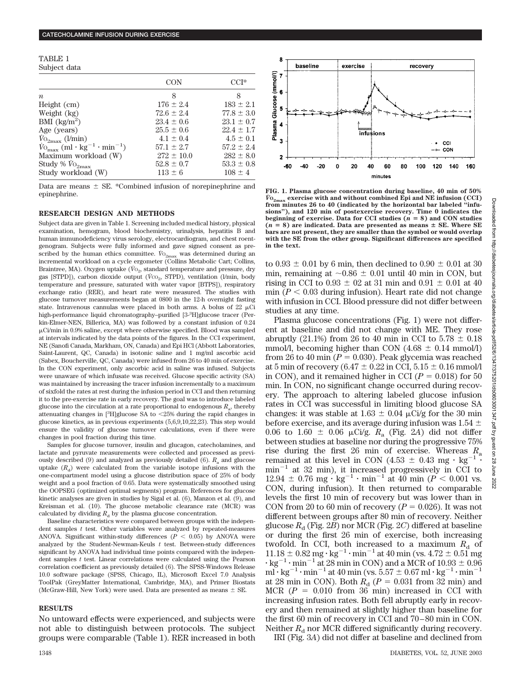#### TABLE 1 Subject data

| pubject uata                                                          |                |                |
|-----------------------------------------------------------------------|----------------|----------------|
|                                                                       | <b>CON</b>     | $CCI*$         |
| $\boldsymbol{n}$                                                      | 8              | 8              |
| Height (cm)                                                           | $176 \pm 2.4$  | $183 \pm 2.1$  |
| Weight (kg)                                                           | $72.6 \pm 2.4$ | $77.8 \pm 3.0$ |
| BMI $(kg/m^2)$                                                        | $23.4 \pm 0.6$ | $23.1 \pm 0.7$ |
| Age (years)                                                           | $25.5 \pm 0.6$ | $22.4 \pm 1.7$ |
| $\dot{V}_{\rm O_{2max}}$ ( <i>l</i> /min)                             | $4.1 \pm 0.4$  | $4.5 \pm 0.1$  |
| $\dot{V}$ <sub>max</sub> (ml · kg <sup>-1</sup> · min <sup>-1</sup> ) | $57.1 \pm 2.7$ | $57.2 \pm 2.4$ |
| Maximum workload (W)                                                  | $272 \pm 10.0$ | $282 \pm 8.0$  |
| Study % $\dot{V}_{\rm O_{2max}}$                                      | $52.8 \pm 0.7$ | $53.3 \pm 0.8$ |
| Study workload (W)                                                    | $113 \pm 6$    | $108 \pm 4$    |

Data are means  $\pm$  SE. \*Combined infusion of norepinephrine and epinephrine.

#### **RESEARCH DESIGN AND METHODS**

Subject data are given in Table 1. Screening included medical history, physical examination, hemogram, blood biochemistry, urinalysis, hepatitis B and human immunodeficiency virus serology, electrocardiogram, and chest roentgenogram. Subjects were fully informed and gave signed consent as prescribed by the human ethics committee.  $\dot{\mathit{V}}\mathrm{O}_{2\mathrm{max}}$  was determined during an incremental workload on a cycle ergometer (Collins Metabolic Cart; Collins, Braintree, MA). Oxygen uptake  $(\dot{V}_{0}$ , standard temperature and pressure, dry gas [STPD]), carbon dioxide output ( $\vec{V}$ co<sub>2</sub>, STPD), ventilation (l/min, body temperature and pressure, saturated with water vapor [BTPS]), respiratory exchange ratio (RER), and heart rate were measured. The studies with glucose turnover measurements began at 0800 in the 12-h overnight fasting state. Intravenous cannulas were placed in both arms. A bolus of 22  $\mu$ Ci high-performance liquid chromatography–purified [3-<sup>3</sup> H]glucose tracer (Perkin-Elmer-NEN, Billerica, MA) was followed by a constant infusion of 0.24 Ci/min in 0.9% saline, except where otherwise specified. Blood was sampled at intervals indicated by the data points of the figures. In the CCI experiment, NE (Sanofi Canada, Markham, ON, Canada) and Epi HCl (Abbott Laboratories, Saint-Laurent, QC, Canada) in isotonic saline and 1 mg/ml ascorbic acid (Sabex, Boucherville, QC, Canada) were infused from 26 to 40 min of exercise. In the CON experiment, only ascorbic acid in saline was infused. Subjects were unaware of which infusate was received. Glucose specific activity (SA) was maintained by increasing the tracer infusion incrementally to a maximum of sixfold the rates at rest during the infusion period in CCI and then returning it to the pre-exercise rate in early recovery. The goal was to introduce labeled glucose into the circulation at a rate proportional to endogenous  $R_a$ , thereby attenuating changes in  $[3H]$ glucose SA to <25% during the rapid changes in glucose kinetics, as in previous experiments (5,6,9,10,22,23). This step would ensure the validity of glucose turnover calculations, even if there were changes in pool fraction during this time.

Samples for glucose turnover, insulin and glucagon, catecholamines, and lactate and pyruvate measurements were collected and processed as previously described  $(9)$  and analyzed as previously detailed  $(6)$ .  $R<sub>a</sub>$  and glucose uptake  $(R_d)$  were calculated from the variable isotope infusions with the one-compartment model using a glucose distribution space of 25% of body weight and a pool fraction of 0.65. Data were systematically smoothed using the OOPSEG (optimized optimal segments) program. References for glucose kinetic analyses are given in studies by Sigal et al. (6), Manzon et al. (9), and Kreisman et al. (10). The glucose metabolic clearance rate (MCR) was calculated by dividing  $R_d$  by the plasma glucose concentration.

Baseline characteristics were compared between groups with the independent samples *t* test. Other variables were analyzed by repeated-measures ANOVA. Significant within-study differences  $(P < 0.05)$  by ANOVA were analyzed by the Student-Newman-Keuls *t* test. Between-study differences significant by ANOVA had individual time points compared with the independent samples *t* test. Linear correlations were calculated using the Pearson correlation coefficient as previously detailed (6). The SPSS-Windows Release 10.0 software package (SPSS, Chicago, IL), Microsoft Excel 7.0 Analysis ToolPak (GreyMatter International, Cambridge, MA), and Primer Biostats (McGraw-Hill, New York) were used. Data are presented as means  $\pm$  SE.

## **RESULTS**

No untoward effects were experienced, and subjects were not able to distinguish between protocols. The subject groups were comparable (Table 1). RER increased in both



**FIG. 1. Plasma glucose concentration during baseline, 40 min of 50%**  $\dot{V}$ O<sub>2max</sub> exercise with and without combined Epi and NE infusion (CCI) from minutes 26 to 40 (indicated by the horizontal bar labeled "infu**sions"), and 120 min of postexercise recovery. Time 0 indicates the beginning of exercise. Data for CCI studies (** $n = 8$ **) and CON studies**  $(n = 8)$  are indicated. Data are presented as means  $\pm$  SE. Where SE **bars are not present, they are smaller than the symbol or would overlap with the SE from the other group. Significant differences are specified in the text.**

to  $0.93 \pm 0.01$  by 6 min, then declined to  $0.90 \pm 0.01$  at 30 min, remaining at  $\sim 0.86 \pm 0.01$  until 40 min in CON, but rising in CCI to  $0.93 \pm 0.2$  at 31 min and  $0.91 \pm 0.01$  at 40  $\min(P < 0.03$  during infusion). Heart rate did not change with infusion in CCI. Blood pressure did not differ between studies at any time.

Plasma glucose concentrations (Fig. 1) were not different at baseline and did not change with ME. They rose abruptly (21.1%) from 26 to 40 min in CCI to  $5.78 \pm 0.18$ mmol/l, becoming higher than CON  $(4.68 \pm 0.14 \text{ mmol/l})$ from 26 to 40 min  $(P = 0.030)$ . Peak glycemia was reached at 5 min of recovery (6.47  $\pm$  0.22 in CCI, 5.15  $\pm$  0.16 mmol/l in CON), and it remained higher in CCI ( $P = 0.018$ ) for 50 min. In CON, no significant change occurred during recovery. The approach to altering labeled glucose infusion rates in CCI was successful in limiting blood glucose SA changes: it was stable at  $1.63 \pm 0.04$  µCi/g for the 30 min before exercise, and its average during infusion was 1.54  $\pm$ 0.06 to 1.60  $\pm$  0.06  $\mu$ Ci/g.  $R_a$  (Fig. 2A) did not differ between studies at baseline nor during the progressive 75% rise during the first 26 min of exercise. Whereas *R*<sup>a</sup> remained at this level in CON (4.53  $\pm$  0.43 mg  $\cdot$  kg<sup>-1</sup>  $\cdot$  $min^{-1}$  at 32 min), it increased progressively in CCI to  $12.94 \pm 0.76$  mg  $\cdot$  kg<sup>-1</sup>  $\cdot$  min<sup>-1</sup> at 40 min (*P* < 0.001 vs. CON, during infusion). It then returned to comparable levels the first 10 min of recovery but was lower than in CON from 20 to 60 min of recovery  $(P = 0.026)$ . It was not different between groups after 80 min of recovery. Neither glucose  $R_d$  (Fig. 2*B*) nor MCR (Fig. 2*C*) differed at baseline or during the first 26 min of exercise, both increasing twofold. In CCI, both increased to a maximum  $R<sub>d</sub>$  of  $11.18 \pm 0.82$  mg  $\cdot$  kg<sup>-1</sup>  $\cdot$  min<sup>-1</sup> at 40 min (vs. 4.72  $\pm$  0.51 mg  $\cdot$  kg<sup>-1</sup>  $\cdot$  min<sup>-1</sup> at 28 min in CON) and a MCR of 10.93  $\pm$  0.96  $ml \cdot kg^{-1} \cdot min^{-1}$  at 40 min (vs. 5.57  $\pm$  0.67 ml  $\cdot$  kg<sup>-1</sup> $\cdot$  min<sup>-1</sup> at 28 min in CON). Both  $R_d$  ( $P = 0.031$  from 32 min) and MCR  $(P = 0.010$  from 36 min) increased in CCI with increasing infusion rates. Both fell abruptly early in recovery and then remained at slightly higher than baseline for the first 60 min of recovery in CCI and 70–80 min in CON. Neither  $R_d$  nor MCR differed significantly during recovery. IRI (Fig. 3*A*) did not differ at baseline and declined from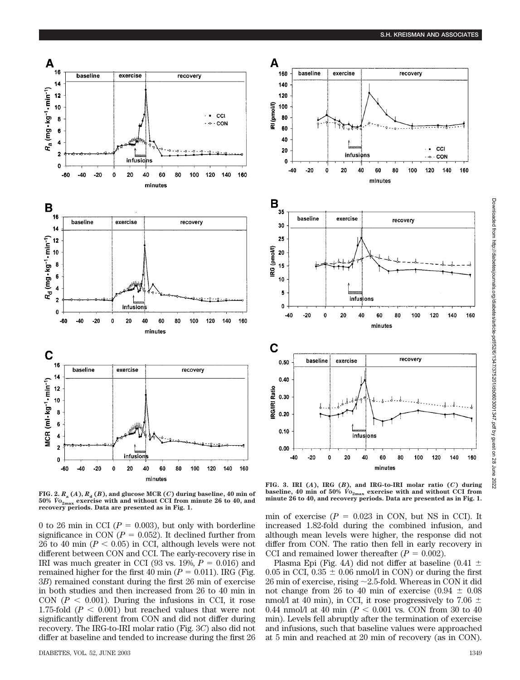

**FIG.** 2.  $R_a(A)$ ,  $R_d(B)$ , and glucose MCR  $(C)$  during baseline, 40 min of **50%** *V˙* **O2max exercise with and without CCI from minute 26 to 40, and recovery periods. Data are presented as in Fig. 1.**

0 to 26 min in CCI ( $P = 0.003$ ), but only with borderline significance in CON ( $P = 0.052$ ). It declined further from 26 to 40 min  $(P < 0.05)$  in CCI, although levels were not different between CON and CCI. The early-recovery rise in IRI was much greater in CCI (93 vs.  $19\%, P = 0.016$ ) and remained higher for the first 40 min  $(P = 0.011)$ . IRG (Fig. 3*B*) remained constant during the first 26 min of exercise in both studies and then increased from 26 to 40 min in CON  $(P < 0.001)$ . During the infusions in CCI, it rose 1.75-fold  $(P < 0.001)$  but reached values that were not significantly different from CON and did not differ during recovery. The IRG-to-IRI molar ratio (Fig. 3*C*) also did not differ at baseline and tended to increase during the first 26







**FIG. 3. IRI (***A***), IRG (***B***), and IRG-to-IRI molar ratio (***C***) during baseline, 40 min of 50%**  $\dot{V}_{0_{2max}}$  exercise with and without CCI from **minute 26 to 40, and recovery periods. Data are presented as in Fig. 1.**

min of exercise  $(P = 0.023$  in CON, but NS in CCI). It increased 1.82-fold during the combined infusion, and although mean levels were higher, the response did not differ from CON. The ratio then fell in early recovery in CCI and remained lower thereafter  $(P = 0.002)$ .

Plasma Epi (Fig. 4*A*) did not differ at baseline (0.41  $\pm$ 0.05 in CCI,  $0.35 \pm 0.06$  nmol/l in CON) or during the first  $26$  min of exercise, rising  $\sim$  2.5-fold. Whereas in CON it did not change from 26 to 40 min of exercise (0.94  $\pm$  0.08 nmol/l at 40 min), in CCI, it rose progressively to 7.06  $\pm$ 0.44 nmol/l at 40 min ( $P < 0.001$  vs. CON from 30 to 40 min). Levels fell abruptly after the termination of exercise and infusions, such that baseline values were approached at 5 min and reached at 20 min of recovery (as in CON).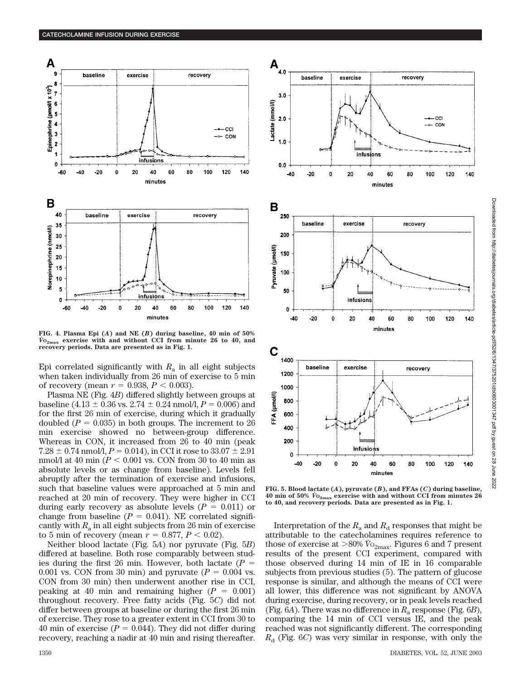

**FIG. 4. Plasma Epi (***A***) and NE (***B***) during baseline, 40 min of 50%** *V˙* **O2max exercise with and without CCI from minute 26 to 40, and recovery periods. Data are presented as in Fig. 1.**

Epi correlated significantly with  $R_a$  in all eight subjects when taken individually from 26 min of exercise to 5 min of recovery (mean  $r = 0.938, P < 0.003$ ).

Plasma NE (Fig. 4*B*) differed slightly between groups at baseline (4.13  $\pm$  0.36 vs. 2.74  $\pm$  0.24 nmol/l, *P* = 0.006) and for the first 26 min of exercise, during which it gradually doubled  $(P = 0.035)$  in both groups. The increment to 26 min exercise showed no between-group difference. Whereas in CON, it increased from 26 to 40 min (peak 7.28  $\pm$  0.74 nmol/l,  $P = 0.014$ ), in CCI it rose to 33.07  $\pm$  2.91 nmol/l at  $40 \text{ min } (P < 0.001 \text{ vs. } \text{CON from } 30 \text{ to } 40 \text{ min as})$ absolute levels or as change from baseline). Levels fell abruptly after the termination of exercise and infusions, such that baseline values were approached at 5 min and reached at 20 min of recovery. They were higher in CCI during early recovery as absolute levels  $(P = 0.011)$  or change from baseline  $(P = 0.041)$ . NE correlated significantly with  $R_a$  in all eight subjects from 26 min of exercise to 5 min of recovery (mean  $r = 0.877, P < 0.02$ ).

Neither blood lactate (Fig. 5*A*) nor pyruvate (Fig. 5*B*) differed at baseline. Both rose comparably between studies during the first 26 min. However, both lactate (*P* 0.001 vs. CON from 30 min) and pyruvate  $(P = 0.004$  vs. CON from 30 min) then underwent another rise in CCI, peaking at 40 min and remaining higher  $(P = 0.001)$ throughout recovery. Free fatty acids (Fig. 5*C*) did not differ between groups at baseline or during the first 26 min of exercise. They rose to a greater extent in CCI from 30 to 40 min of exercise  $(P = 0.044)$ . They did not differ during recovery, reaching a nadir at 40 min and rising thereafter.



 $\mathbf{A}_{_{4.0}}$ 

baseline

exercise

recovery

**FIG. 5. Blood lactate (***A***), pyruvate (***B***), and FFAs (***C***) during baseline, 40 min of 50%** *V˙* **O2max exercise with and without CCI from minutes 26 to 40, and recovery periods. Data are presented as in Fig. 1.**

Interpretation of the  $R_a$  and  $R_d$  responses that might be attributable to the catecholamines requires reference to those of exercise at  $>80\%$   $\dot{V}$ <sub>2max</sub>. Figures 6 and 7 present results of the present CCI experiment, compared with those observed during 14 min of IE in 16 comparable subjects from previous studies (5). The pattern of glucose response is similar, and although the means of CCI were all lower, this difference was not significant by ANOVA during exercise, during recovery, or in peak levels reached (Fig.  $6A$ ). There was no difference in  $R_a$  response (Fig.  $6B$ ), comparing the 14 min of CCI versus IE, and the peak reached was not significantly different. The corresponding  $R_{\rm d}$  (Fig. 6*C*) was very similar in response, with only the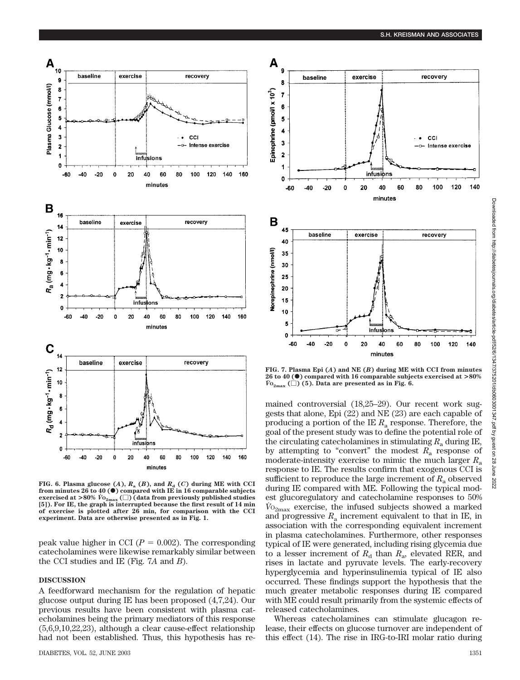

FIG. 6. Plasma glucose  $(A)$ ,  $R_a$   $(B)$ , and  $R_d$   $(C)$  during ME with CCI<br>from minutes 26 to 40 (  $\bullet$  ) compared with IE in 16 comparable subjects **exercised at >80%**  $\dot{V}_{0_{2\text{max}}}(\Box)$  (data from previously published studies **[5]). For IE, the graph is interrupted because the first result of 14 min of exercise is plotted after 26 min, for comparison with the CCI experiment. Data are otherwise presented as in Fig. 1.**

peak value higher in CCI ( $P = 0.002$ ). The corresponding catecholamines were likewise remarkably similar between the CCI studies and IE (Fig. 7*A* and *B*).

### **DISCUSSION**

A feedforward mechanism for the regulation of hepatic glucose output during IE has been proposed (4,7,24). Our previous results have been consistent with plasma catecholamines being the primary mediators of this response (5,6,9,10,22,23), although a clear cause-effect relationship had not been established. Thus, this hypothesis has re-



**FIG. 7. Plasma Epi (***A***) and NE (***B***) during ME with CCI from minutes 26 to 40 (**F**) compared with 16 comparable subjects exercised at >80%**  $\dot{V}_{\text{O}_{2\text{max}}}$  ( $\Box$ ) (5). Data are presented as in Fig. 6.

mained controversial (18,25–29). Our recent work suggests that alone, Epi (22) and NE (23) are each capable of producing a portion of the IE  $R_a$  response. Therefore, the goal of the present study was to define the potential role of the circulating catecholamines in stimulating  $R_a$  during IE, by attempting to "convert" the modest  $R_a$  response of moderate-intensity exercise to mimic the much larger *R*<sup>a</sup> response to IE. The results confirm that exogenous CCI is sufficient to reproduce the large increment of  $R_a$  observed during IE compared with ME. Following the typical modest glucoregulatory and catecholamine responses to 50%  $V_{{}^{O2}max}$  exercise, the infused subjects showed a marked and progressive  $R_a$  increment equivalent to that in IE, in association with the corresponding equivalent increment in plasma catecholamines. Furthermore, other responses typical of IE were generated, including rising glycemia due to a lesser increment of  $R_d$  than  $R_a$ , elevated RER, and rises in lactate and pyruvate levels. The early-recovery hyperglycemia and hyperinsulinemia typical of IE also occurred. These findings support the hypothesis that the much greater metabolic responses during IE compared with ME could result primarily from the systemic effects of released catecholamines.

Whereas catecholamines can stimulate glucagon release, their effects on glucose turnover are independent of this effect (14). The rise in IRG-to-IRI molar ratio during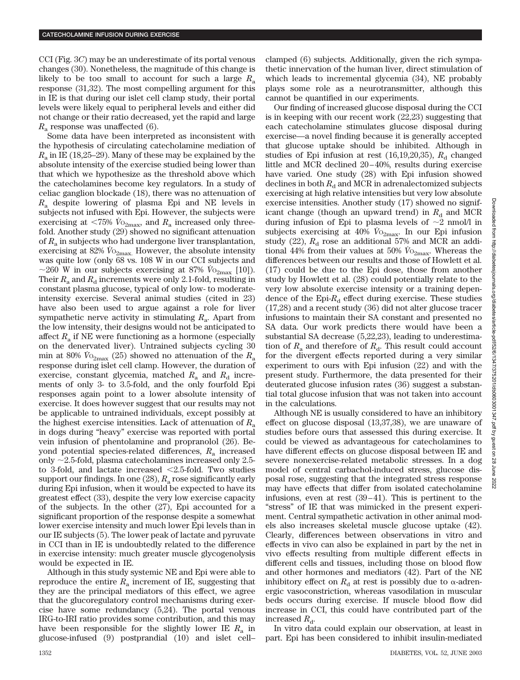CCI (Fig. 3*C*) may be an underestimate of its portal venous changes (30). Nonetheless, the magnitude of this change is likely to be too small to account for such a large  $R_a$ response (31,32). The most compelling argument for this in IE is that during our islet cell clamp study, their portal levels were likely equal to peripheral levels and either did not change or their ratio decreased, yet the rapid and large *R*<sup>a</sup> response was unaffected (6).

Some data have been interpreted as inconsistent with the hypothesis of circulating catecholamine mediation of *R*<sup>a</sup> in IE (18,25–29). Many of these may be explained by the absolute intensity of the exercise studied being lower than that which we hypothesize as the threshold above which the catecholamines become key regulators. In a study of celiac ganglion blockade (18), there was no attenuation of *R*<sup>a</sup> despite lowering of plasma Epi and NE levels in subjects not infused with Epi. However, the subjects were exercising at <75%  $\hat{V}_{O_{2\text{max}}}$  and  $R_{\text{a}}$  increased only threefold. Another study (29) showed no significant attenuation of *R*<sup>a</sup> in subjects who had undergone liver transplantation, exercising at  $82\%$   $\dot{V}$ <sub>2max</sub>. However, the absolute intensity was quite low (only 68 vs. 108 W in our CCI subjects and  $\sim$ 260 W in our subjects exercising at 87%  $\dot{V}_{O_{2\text{max}}}$  [10]). Their  $R_a$  and  $R_d$  increments were only 2.1-fold, resulting in constant plasma glucose, typical of only low- to moderateintensity exercise. Several animal studies (cited in 23) have also been used to argue against a role for liver sympathetic nerve activity in stimulating  $R_a$ . Apart from the low intensity, their designs would not be anticipated to affect  $R_a$  if NE were functioning as a hormone (especially on the denervated liver). Untrained subjects cycling 30 min at 80%  $V_{\text{O}_{2\text{max}}}(25)$  showed no attenuation of the  $R_{\text{a}}$ response during islet cell clamp. However, the duration of exercise, constant glycemia, matched  $R_a$  and  $R_d$  increments of only 3- to 3.5-fold, and the only fourfold Epi responses again point to a lower absolute intensity of exercise. It does however suggest that our results may not be applicable to untrained individuals, except possibly at the highest exercise intensities. Lack of attenuation of  $R_a$ in dogs during "heavy" exercise was reported with portal vein infusion of phentolamine and propranolol (26). Beyond potential species-related differences, *R*<sup>a</sup> increased only  $\sim$ 2.5-fold, plasma catecholamines increased only 2.5to 3-fold, and lactate increased  $\leq$ 2.5-fold. Two studies support our findings. In one (28), *R*<sub>a</sub> rose significantly early during Epi infusion, when it would be expected to have its greatest effect (33), despite the very low exercise capacity of the subjects. In the other (27), Epi accounted for a significant proportion of the response despite a somewhat lower exercise intensity and much lower Epi levels than in our IE subjects (5). The lower peak of lactate and pyruvate in CCI than in IE is undoubtedly related to the difference in exercise intensity: much greater muscle glycogenolysis would be expected in IE.

Although in this study systemic NE and Epi were able to reproduce the entire  $R_a$  increment of IE, suggesting that they are the principal mediators of this effect, we agree that the glucoregulatory control mechanisms during exercise have some redundancy (5,24). The portal venous IRG-to-IRI ratio provides some contribution, and this may have been responsible for the slightly lower IE  $R_a$  in glucose-infused (9) postprandial (10) and islet cell– clamped (6) subjects. Additionally, given the rich sympathetic innervation of the human liver, direct stimulation of which leads to incremental glycemia (34), NE probably plays some role as a neurotransmitter, although this cannot be quantified in our experiments.

Our finding of increased glucose disposal during the CCI is in keeping with our recent work (22,23) suggesting that each catecholamine stimulates glucose disposal during exercise—a novel finding because it is generally accepted that glucose uptake should be inhibited. Although in studies of Epi infusion at rest  $(16,19,20,35)$ ,  $R<sub>d</sub>$  changed little and MCR declined 20–40%, results during exercise have varied. One study (28) with Epi infusion showed declines in both  $R_d$  and MCR in adrenalectomized subjects exercising at high relative intensities but very low absolute exercise intensities. Another study (17) showed no significant change (though an upward trend) in  $R_d$  and MCR during infusion of Epi to plasma levels of  $\sim$ 2 nmol/l in subjects exercising at  $40\%$   $\dot{V}_{O_{2\text{max}}}$ . In our Epi infusion study (22),  $R_d$  rose an additional 57% and MCR an additional 44% from their values at 50%  $\dot{V}_{O_{2\text{max}}}$ . Whereas the differences between our results and those of Howlett et al. (17) could be due to the Epi dose, those from another study by Howlett et al. (28) could potentially relate to the very low absolute exercise intensity or a training dependence of the  $Epi R_d$  effect during exercise. These studies (17,28) and a recent study (36) did not alter glucose tracer infusions to maintain their SA constant and presented no SA data. Our work predicts there would have been a substantial SA decrease (5,22,23), leading to underestimation of  $R_a$  and therefore of  $R_d$ . This result could account for the divergent effects reported during a very similar experiment to ours with Epi infusion (22) and with the present study. Furthermore, the data presented for their deuterated glucose infusion rates (36) suggest a substantial total glucose infusion that was not taken into account in the calculations.

Although NE is usually considered to have an inhibitory effect on glucose disposal (13,37,38), we are unaware of studies before ours that assessed this during exercise. It could be viewed as advantageous for catecholamines to have different effects on glucose disposal between IE and severe nonexercise-related metabolic stresses. In a dog model of central carbachol-induced stress, glucose disposal rose, suggesting that the integrated stress response may have effects that differ from isolated catecholamine infusions, even at rest (39–41). This is pertinent to the "stress" of IE that was mimicked in the present experiment. Central sympathetic activation in other animal models also increases skeletal muscle glucose uptake (42). Clearly, differences between observations in vitro and effects in vivo can also be explained in part by the net in vivo effects resulting from multiple different effects in different cells and tissues, including those on blood flow and other hormones and mediators (42). Part of the NE inhibitory effect on  $R_d$  at rest is possibly due to  $\alpha$ -adrenergic vasoconstriction, whereas vasodilation in muscular beds occurs during exercise. If muscle blood flow did increase in CCI, this could have contributed part of the increased  $R_{\rm d}$ .

In vitro data could explain our observation, at least in part. Epi has been considered to inhibit insulin-mediated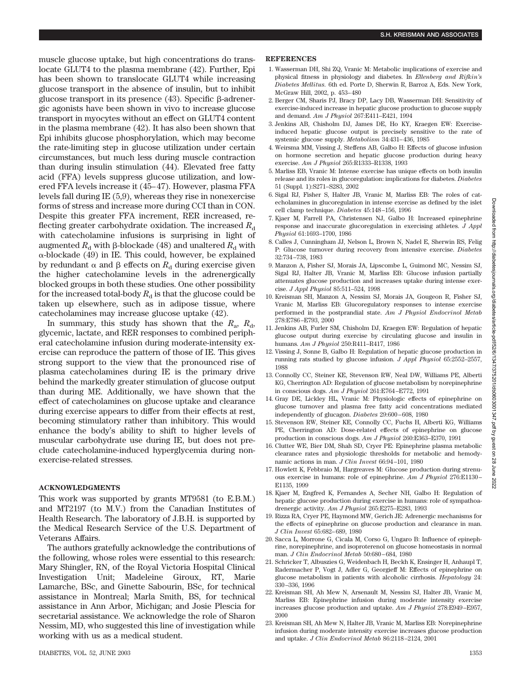muscle glucose uptake, but high concentrations do translocate GLUT4 to the plasma membrane (42). Further, Epi has been shown to translocate GLUT4 while increasing glucose transport in the absence of insulin, but to inhibit glucose transport in its presence  $(43)$ . Specific  $\beta$ -adrenergic agonists have been shown in vivo to increase glucose transport in myocytes without an effect on GLUT4 content in the plasma membrane (42). It has also been shown that Epi inhibits glucose phosphorylation, which may become the rate-limiting step in glucose utilization under certain circumstances, but much less during muscle contraction than during insulin stimulation (44). Elevated free fatty acid (FFA) levels suppress glucose utilization, and lowered FFA levels increase it (45–47). However, plasma FFA levels fall during IE (5,9), whereas they rise in nonexercise forms of stress and increase more during CCI than in CON. Despite this greater FFA increment, RER increased, reflecting greater carbohydrate oxidation. The increased  $R_d$ with catecholamine infusions is surprising in light of augmented  $R_d$  with  $\beta$ -blockade (48) and unaltered  $R_d$  with  $\alpha$ -blockade (49) in IE. This could, however, be explained by redundant  $\alpha$  and  $\beta$  effects on  $R_d$  during exercise given the higher catecholamine levels in the adrenergically blocked groups in both these studies. One other possibility for the increased total-body  $R_d$  is that the glucose could be taken up elsewhere, such as in adipose tissue, where catecholamines may increase glucose uptake (42).

In summary, this study has shown that the  $R_a$ ,  $R_d$ , glycemic, lactate, and RER responses to combined peripheral catecholamine infusion during moderate-intensity exercise can reproduce the pattern of those of IE. This gives strong support to the view that the pronounced rise of plasma catecholamines during IE is the primary drive behind the markedly greater stimulation of glucose output than during ME. Additionally, we have shown that the effect of catecholamines on glucose uptake and clearance during exercise appears to differ from their effects at rest, becoming stimulatory rather than inhibitory. This would enhance the body's ability to shift to higher levels of muscular carbohydrate use during IE, but does not preclude catecholamine-induced hyperglycemia during nonexercise-related stresses.

## **ACKNOWLEDGMENTS**

This work was supported by grants MT9581 (to E.B.M.) and MT2197 (to M.V.) from the Canadian Institutes of Health Research. The laboratory of J.B.H. is supported by the Medical Research Service of the U.S. Department of Veterans Affairs.

The authors gratefully acknowledge the contributions of the following, whose roles were essential to this research: Mary Shingler, RN, of the Royal Victoria Hospital Clinical Investigation Unit; Madeleine Giroux, RT, Marie Lamarche, BSc, and Ginette Sabourin, BSc, for technical assistance in Montreal; Marla Smith, BS, for technical assistance in Ann Arbor, Michigan; and Josie Plescia for secretarial assistance. We acknowledge the role of Sharon Nessim, MD, who suggested this line of investigation while working with us as a medical student.

#### **REFERENCES**

- 1. Wasserman DH, Shi ZQ, Vranic M: Metabolic implications of exercise and physical fitness in physiology and diabetes. In *Ellenberg and Rifkin's Diabetes Mellitus.* 6th ed. Porte D, Sherwin R, Barroz A, Eds. New York, McGraw Hill, 2002, p. 453–480
- 2. Berger CM, Sharis PJ, Bracy DP, Lacy DB, Wasserman DH: Sensitivity of exercise-induced increase in hepatic glucose production to glucose supply and demand. *Am J Physiol* 267:E411–E421, 1994
- 3. Jenkins AB, Chisholm DJ, James DE, Ho KY, Kraegen EW: Exerciseinduced hepatic glucose output is precisely sensitive to the rate of systemic glucose supply. *Metabolism* 34:431–436, 1985
- 4. Weirsma MM, Vissing J, Steffens AB, Galbo H: Effects of glucose infusion on hormone secretion and hepatic glucose production during heavy exercise. *Am J Physiol* 265:R1333–R1338, 1993
- 5. Marliss EB, Vranic M: Intense exercise has unique effects on both insulin release and its roles in glucoregulation: implications for diabetes. *Diabetes* 51 (Suppl. 1):S271–S283, 2002
- 6. Sigal RJ, Fisher S, Halter JB, Vranic M, Marliss EB: The roles of catecholamines in glucoregulation in intense exercise as defined by the islet cell clamp technique. *Diabetes* 45:148–156, 1996
- 7. Kjaer M, Farrell PA, Christensen NJ, Galbo H: Increased epinephrine response and inaccurate glucoregulation in exercising athletes. *J Appl Physiol* 61:1693–1700, 1986
- 8. Calles J, Cunningham JJ, Nelson L, Brown N, Nadel E, Sherwin RS, Felig P: Glucose turnover during recovery from intensive exercise. *Diabetes* 32:734–738, 1983
- 9. Manzon A, Fisher SJ, Morais JA, Lipscombe L, Guimond MC, Nessim SJ, Sigal RJ, Halter JB, Vranic M, Marliss EB: Glucose infusion partially attenuates glucose production and increases uptake during intense exercise. *J Appl Physiol* 85:511–524, 1998
- 10. Kreisman SH, Manzon A, Nessim SJ, Morais JA, Gougeon R, Fisher SJ, Vranic M, Marliss EB: Glucoregulatory responses to intense exercise performed in the postprandial state. *Am J Physiol Endocrinol Metab* 278:E786–E793, 2000
- 11. Jenkins AB, Furler SM, Chisholm DJ, Kraegen EW: Regulation of hepatic glucose output during exercise by circulating glucose and insulin in humans. *Am J Physiol* 250:R411–R417, 1986
- 12. Vissing J, Sonne B, Galbo H: Regulation of hepatic glucose production in running rats studied by glucose infusion. *J Appl Physiol* 65:2552–2557, 1988
- 13. Connolly CC, Steiner KE, Stevenson RW, Neal DW, Williams PE, Alberti KG, Cherrington AD: Regulation of glucose metabolism by norepinephrine in conscious dogs. *Am J Physiol* 261:E764–E772, 1991
- 14. Gray DE, Lickley HL, Vranic M: Physiologic effects of epinephrine on glucose turnover and plasma free fatty acid concentrations mediated independently of glucagon. *Diabetes* 29:600–608, 1980
- 15. Stevenson RW, Steiner KE, Connolly CC, Fuchs H, Alberti KG, Williams PE, Cherrington AD: Dose-related effects of epinephrine on glucose production in conscious dogs. *Am J Physiol* 260:E363–E370, 1991
- 16. Clutter WE, Bier DM, Shah SD, Cryer PE: Epinephrine plasma metabolic clearance rates and physiologic thresholds for metabolic and hemodynamic actions in man. *J Clin Invest* 66:94–101, 1980
- 17. Howlett K, Febbraio M, Hargreaves M: Glucose production during strenuous exercise in humans: role of epinephrine. *Am J Physiol* 276:E1130– E1135, 1999
- 18. Kjaer M, Engfred K, Fernandes A, Secher NH, Galbo H: Regulation of hepatic glucose production during exercise in humans: role of sympathoadrenergic activity. *Am J Physiol* 265:E275–E283, 1993
- 19. Rizza RA, Cryer PE, Haymond MW, Gerich JE: Adrenergic mechanisms for the effects of epinephrine on glucose production and clearance in man. *J Clin Invest* 65:682–689, 1980
- 20. Sacca L, Morrone G, Cicala M, Corso G, Ungaro B: Influence of epinephrine, norepinephrine, and isoproterenol on glucose homeostasis in normal man. *J Clin Endocrinol Metab* 50:680–684, 1980
- 21. Schricker T, Albuszies G, Weidenbach H, Beckh K, Ensinger H, Anhaupl T, Radermacher P, Vogt J, Adler G, Georgieff M: Effects of epinephrine on glucose metabolism in patients with alcoholic cirrhosis. *Hepatology* 24: 330–336, 1996
- 22. Kreisman SH, Ah Mew N, Arsenault M, Nessim SJ, Halter JB, Vranic M, Marliss EB: Epinephrine infusion during moderate intensity exercise increases glucose production and uptake. *Am J Physiol* 278:E949–E957, 2000
- 23. Kreisman SH, Ah Mew N, Halter JB, Vranic M, Marliss EB: Norepinephrine infusion during moderate intensity exercise increases glucose production and uptake. *J Clin Endocrinol Metab* 86:2118–2124, 2001